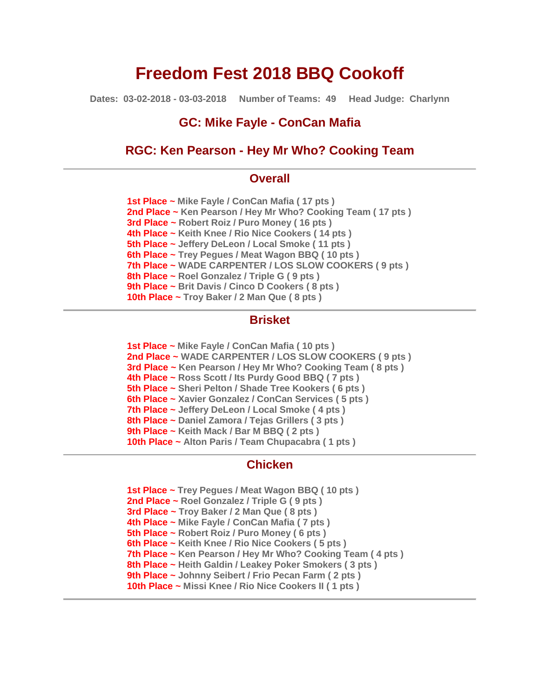# **Freedom Fest 2018 BBQ Cookoff**

**Dates: 03-02-2018 - 03-03-2018 Number of Teams: 49 Head Judge: Charlynn**

# **GC: Mike Fayle - ConCan Mafia**

# **RGC: Ken Pearson - Hey Mr Who? Cooking Team**

# **Overall**

**1st Place ~ Mike Fayle / ConCan Mafia ( 17 pts ) 2nd Place ~ Ken Pearson / Hey Mr Who? Cooking Team ( 17 pts ) 3rd Place ~ Robert Roiz / Puro Money ( 16 pts ) 4th Place ~ Keith Knee / Rio Nice Cookers ( 14 pts ) 5th Place ~ Jeffery DeLeon / Local Smoke ( 11 pts ) 6th Place ~ Trey Pegues / Meat Wagon BBQ ( 10 pts ) 7th Place ~ WADE CARPENTER / LOS SLOW COOKERS ( 9 pts ) 8th Place ~ Roel Gonzalez / Triple G ( 9 pts ) 9th Place ~ Brit Davis / Cinco D Cookers ( 8 pts ) 10th Place ~ Troy Baker / 2 Man Que ( 8 pts )**

# **Brisket**

**1st Place ~ Mike Fayle / ConCan Mafia ( 10 pts ) 2nd Place ~ WADE CARPENTER / LOS SLOW COOKERS ( 9 pts ) 3rd Place ~ Ken Pearson / Hey Mr Who? Cooking Team ( 8 pts ) 4th Place ~ Ross Scott / Its Purdy Good BBQ ( 7 pts ) 5th Place ~ Sheri Pelton / Shade Tree Kookers ( 6 pts ) 6th Place ~ Xavier Gonzalez / ConCan Services ( 5 pts ) 7th Place ~ Jeffery DeLeon / Local Smoke ( 4 pts ) 8th Place ~ Daniel Zamora / Tejas Grillers ( 3 pts ) 9th Place ~ Keith Mack / Bar M BBQ ( 2 pts ) 10th Place ~ Alton Paris / Team Chupacabra ( 1 pts )**

# **Chicken**

**1st Place ~ Trey Pegues / Meat Wagon BBQ ( 10 pts ) 2nd Place ~ Roel Gonzalez / Triple G ( 9 pts ) 3rd Place ~ Troy Baker / 2 Man Que ( 8 pts ) 4th Place ~ Mike Fayle / ConCan Mafia ( 7 pts ) 5th Place ~ Robert Roiz / Puro Money ( 6 pts ) 6th Place ~ Keith Knee / Rio Nice Cookers ( 5 pts ) 7th Place ~ Ken Pearson / Hey Mr Who? Cooking Team ( 4 pts ) 8th Place ~ Heith Galdin / Leakey Poker Smokers ( 3 pts ) 9th Place ~ Johnny Seibert / Frio Pecan Farm ( 2 pts ) 10th Place ~ Missi Knee / Rio Nice Cookers II ( 1 pts )**